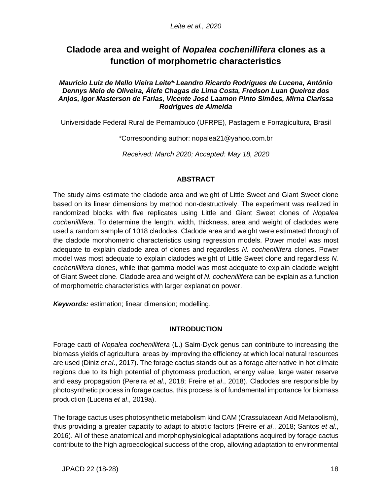# **Cladode area and weight of** *Nopalea cochenillifera* **clones as a function of morphometric characteristics**

#### Mauricio Luiz de Mello Vieira Leite\* Leandro Ricardo Rodrigues de Lucena, Antônio *Dennys Melo de Oliveira, Álefe Chagas de Lima Costa, Fredson Luan Queiroz dos Anjos, Igor Masterson de Farias, Vicente José Laamon Pinto Simões, Mirna Clarissa Rodrigues de Almeida*

Universidade Federal Rural de Pernambuco (UFRPE), Pastagem e Forragicultura, Brasil

\*Corresponding author: [nopalea21@yahoo.com.br](mailto:nopalea21@yahoo.com.br)

*Received: March 2020; Accepted: May 18, 2020*

### **ABSTRACT**

The study aims estimate the cladode area and weight of Little Sweet and Giant Sweet clone based on its linear dimensions by method non-destructively. The experiment was realized in randomized blocks with five replicates using Little and Giant Sweet clones of *Nopalea cochenillifera*. To determine the length, width, thickness, area and weight of cladodes were used a random sample of 1018 cladodes. Cladode area and weight were estimated through of the cladode morphometric characteristics using regression models. Power model was most adequate to explain cladode area of clones and regardless *N. cochenillifera* clones. Power model was most adequate to explain cladodes weight of Little Sweet clone and regardless *N. cochenillifera* clones, while that gamma model was most adequate to explain cladode weight of Giant Sweet clone. Cladode area and weight of *N. cochenillifera* can be explain as a function of morphometric characteristics with larger explanation power.

*Keywords:* estimation; linear dimension; modelling.

### **INTRODUCTION**

Forage cacti of *Nopalea cochenillifera* (L.) Salm-Dyck genus can contribute to increasing the biomass yields of agricultural areas by improving the efficiency at which local natural resources are used (Diniz *et al*., 2017). The forage cactus stands out as a forage alternative in hot climate regions due to its high potential of phytomass production, energy value, large water reserve and easy propagation (Pereira *et al*., 2018; Freire *et al*., 2018). Cladodes are responsible by photosynthetic process in forage cactus, this process is of fundamental importance for biomass production (Lucena *et al*., 2019a).

The forage cactus uses photosynthetic metabolism kind CAM (Crassulacean Acid Metabolism), thus providing a greater capacity to adapt to abiotic factors (Freire *et al*., 2018; Santos *et al*., 2016). All of these anatomical and morphophysiological adaptations acquired by forage cactus contribute to the high agroecological success of the crop, allowing adaptation to environmental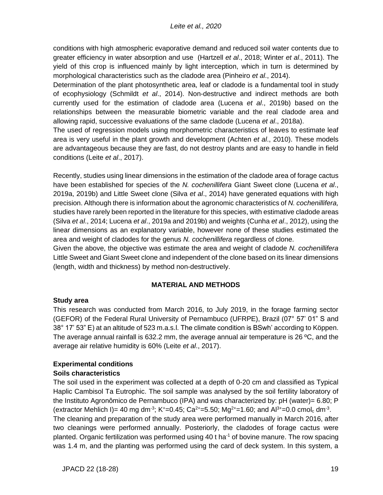conditions with high atmospheric evaporative demand and reduced soil water contents due to greater efficiency in water absorption and use (Hartzell *et al*., 2018; Winter *et al*., 2011). The yield of this crop is influenced mainly by light interception, which in turn is determined by morphological characteristics such as the cladode area (Pinheiro *et al*., 2014).

Determination of the plant photosynthetic area, leaf or cladode is a fundamental tool in study of ecophysiology (Schmildt *et al*., 2014). Non-destructive and indirect methods are both currently used for the estimation of cladode area (Lucena *et al*., 2019b) based on the relationships between the measurable biometric variable and the real cladode area and allowing rapid, successive evaluations of the same cladode (Lucena *et al*., 2018a).

The used of regression models using morphometric characteristics of leaves to estimate leaf area is very useful in the plant growth and development (Achten *et al*., 2010). These models are advantageous because they are fast, do not destroy plants and are easy to handle in field conditions (Leite *et al*., 2017).

Recently, studies using linear dimensions in the estimation of the cladode area of forage cactus have been established for species of the *N. cochenillifera* Giant Sweet clone (Lucena *et al*., 2019a, 2019b) and Little Sweet clone (Silva *et al*., 2014) have generated equations with high precision. Although there is information about the agronomic characteristics of *N. cochenillifera,* studies have rarely been reported in the literature for this species, with estimative cladode areas (Silva *et al*., 2014; Lucena *et al*., 2019a and 2019b) and weights (Cunha *et al*., 2012), using the linear dimensions as an explanatory variable, however none of these studies estimated the area and weight of cladodes for the genus *N. cochenillifera* regardless of clone.

Given the above, the objective was estimate the area and weight of cladode *N. cochenillifera* Little Sweet and Giant Sweet clone and independent of the clone based on its linear dimensions (length, width and thickness) by method non-destructively.

# **MATERIAL AND METHODS**

# **Study area**

This research was conducted from March 2016, to July 2019, in the forage farming sector (GEFOR) of the Federal Rural University of Pernambuco (UFRPE), Brazil (07° 57' 01" S and 38° 17' 53" E) at an altitude of 523 m.a.s.l. The climate condition is BSwh' according to Köppen. The average annual rainfall is 632.2 mm, the average annual air temperature is 26 ºC, and the average air relative humidity is 60% (Leite *et al*., 2017).

### **Experimental conditions Soils characteristics**

The soil used in the experiment was collected at a depth of 0-20 cm and classified as Typical Haplic Cambisol Ta Eutrophic. The soil sample was analysed by the soil fertility laboratory of the Instituto Agronômico de Pernambuco (IPA) and was characterized by: pH (water)= 6.80; P (extractor Mehlich I)= 40 mg dm<sup>-3</sup>; K<sup>+</sup>=0.45; Ca<sup>2+</sup>=5.50; Mg<sup>2+</sup>=1.60; and Al<sup>3+</sup>=0.0 cmol<sub>c</sub> dm<sup>-3</sup>.

The cleaning and preparation of the study area were performed manually in March 2016, after two cleanings were performed annually. Posteriorly, the cladodes of forage cactus were planted. Organic fertilization was performed using  $40$  t ha<sup>-1</sup> of bovine manure. The row spacing was 1.4 m, and the planting was performed using the card of deck system. In this system, a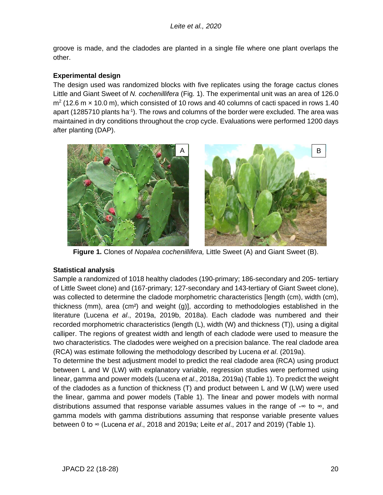groove is made, and the cladodes are planted in a single file where one plant overlaps the other.

### **Experimental design**

The design used was randomized blocks with five replicates using the forage cactus clones Little and Giant Sweet of *N. cochenillifera* (Fig. 1). The experimental unit was an area of 126.0  $m^2$  (12.6 m  $\times$  10.0 m), which consisted of 10 rows and 40 columns of cacti spaced in rows 1.40 apart (1285710 plants ha<sup>-1</sup>). The rows and columns of the border were excluded. The area was maintained in dry conditions throughout the crop cycle. Evaluations were performed 1200 days after planting (DAP).



**Figure 1.** Clones of *Nopalea cochenillifera,* Little Sweet (A) and Giant Sweet (B).

### **Statistical analysis**

Sample a randomized of 1018 healthy cladodes (190-primary; 186-secondary and 205- tertiary of Little Sweet clone) and (167-primary; 127-secondary and 143-tertiary of Giant Sweet clone), was collected to determine the cladode morphometric characteristics [length (cm), width (cm), thickness (mm), area (cm²) and weight (g)], according to methodologies established in the literature (Lucena *et al*., 2019a, 2019b, 2018a). Each cladode was numbered and their recorded morphometric characteristics (length (L), width (W) and thickness (T)), using a digital calliper. The regions of greatest width and length of each cladode were used to measure the two characteristics. The cladodes were weighed on a precision balance. The real cladode area (RCA) was estimate following the methodology described by Lucena *et al*. (2019a).

To determine the best adjustment model to predict the real cladode area (RCA) using product between L and W (LW) with explanatory variable, regression studies were performed using linear, gamma and power models (Lucena *et al*., 2018a, 2019a) (Table 1). To predict the weight of the cladodes as a function of thickness (T) and product between L and W (LW) were used the linear, gamma and power models (Table 1). The linear and power models with normal distributions assumed that response variable assumes values in the range of - $\infty$  to  $\infty$ , and gamma models with gamma distributions assuming that response variable presente values between 0 to ∞ (Lucena *et al*., 2018 and 2019a; Leite *et al*., 2017 and 2019) (Table 1).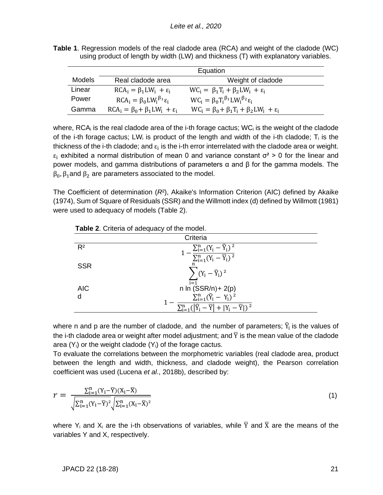|               | Equation                                       |                                                              |  |  |  |  |  |
|---------------|------------------------------------------------|--------------------------------------------------------------|--|--|--|--|--|
| <b>Models</b> | Real cladode area                              | Weight of cladode                                            |  |  |  |  |  |
| Linear        | $RCA_i = \beta_1 LW_i + \epsilon_i$            | $WC_i = \beta_1 T_i + \beta_2 LW_i + \epsilon_i$             |  |  |  |  |  |
| Power         | $RCA_i = \beta_0 LW_i^{\beta_1} \varepsilon_i$ | $WC_i = \beta_0 T_i^{\beta_1} L W_i^{\beta_2} \varepsilon_i$ |  |  |  |  |  |
| Gamma         | $RCA_i = \beta_0 + \beta_1 LW_i + \epsilon_i$  | $WC_i = \beta_0 + \beta_1 T_i + \beta_2 LW_i + \epsilon_i$   |  |  |  |  |  |

**Table 1**. Regression models of the real cladode area (RCA) and weight of the cladode (WC) using product of length by width (LW) and thickness (T) with explanatory variables.

where,  $RCA_i$  is the real cladode area of the i-th forage cactus;  $WC_i$  is the weight of the cladode of the i-th forage cactus;  $LW_i$  is product of the length and width of the i-th cladode;  $T_i$  is the thickness of the i-th cladode; and  $\varepsilon_i$  is the i-th error interrelated with the cladode area or weight.  $\varepsilon_i$  exhibited a normal distribution of mean 0 and variance constant  $\sigma^2 > 0$  for the linear and power models, and gamma distributions of parameters  $\alpha$  and  $\beta$  for the gamma models. The  $β<sub>0</sub>, β<sub>1</sub>$  and  $β<sub>2</sub>$  are parameters associated to the model.

The Coefficient of determination (*R*²), Akaike's Information Criterion (AIC) defined by Akaike (1974), Sum of Square of Residuals (SSR) and the Willmott index (d) defined by Willmott (1981) were used to adequacy of models (Table 2).

| Criteria   |                                                                                       |  |  |  |
|------------|---------------------------------------------------------------------------------------|--|--|--|
| $R^2$      | $-\frac{\sum_{i=1}^n (Y_i - \widehat{Y}_i)^2}{\sum_{i=1}^n (Y_i - \overline{Y}_i)^2}$ |  |  |  |
| <b>SSR</b> |                                                                                       |  |  |  |
|            | $\sum (Y_i - \widehat{Y}_i)^2$                                                        |  |  |  |
| <b>AIC</b> | $i=1$<br>$n \ln (SSR/n) + 2(p)$                                                       |  |  |  |
|            | $\sum_{i=1}^{n} (\hat{Y}_i - Y_i)^2$                                                  |  |  |  |
|            | $-\overline{Y}$ + $ Y_i - \overline{Y} $ ) <sup>2</sup>                               |  |  |  |

**Table 2**. Criteria of adequacy of the model.

where n and p are the number of cladode, and the number of parameters;  $\widehat{Y}_i$  is the values of the i-th cladode area or weight after model adjustment; and  $\overline{Y}$  is the mean value of the cladode area  $(Y_i)$  or the weight cladode  $(Y_i)$  of the forage cactus.

To evaluate the correlations between the morphometric variables (real cladode area, product between the length and width, thickness, and cladode weight), the Pearson correlation coefficient was used (Lucena *et al*., 2018b), described by:

$$
r = \frac{\sum_{i=1}^{n} (Y_i - \overline{Y})(X_i - \overline{X})}{\sqrt{\sum_{i=1}^{n} (Y_i - \overline{Y})^2} \sqrt{\sum_{i=1}^{n} (X_i - \overline{X})^2}}
$$
(1)

where Y<sub>i</sub> and X<sub>i</sub> are the i-th observations of variables, while  $\overline{Y}$  and  $\overline{X}$  are the means of the variables Y and X, respectively.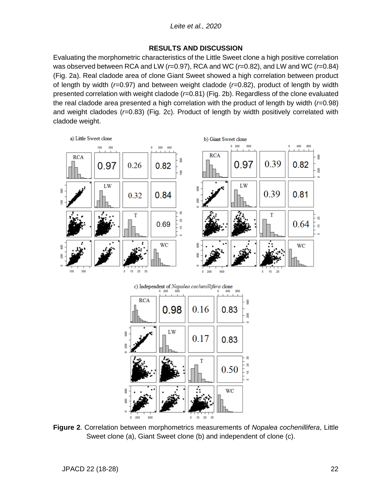### **RESULTS AND DISCUSSION**

Evaluating the morphometric characteristics of the Little Sweet clone a high positive correlation was observed between RCA and LW (*r*=0.97), RCA and WC (*r*=0.82), and LW and WC (*r*=0.84) (Fig. 2a). Real cladode area of clone Giant Sweet showed a high correlation between product of length by width (*r*=0.97) and between weight cladode (*r*=0.82), product of length by width presented correlation with weight cladode (*r*=0.81) (Fig. 2b). Regardless of the clone evaluated the real cladode area presented a high correlation with the product of length by width (*r*=0.98) and weight cladodes (*r*=0.83) (Fig. 2c). Product of length by width positively correlated with cladode weight.



**Figure 2**. Correlation between morphometrics measurements of *Nopalea cochenillifera*, Little Sweet clone (a), Giant Sweet clone (b) and independent of clone (c).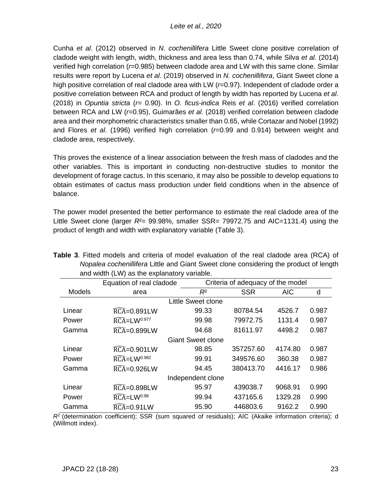Cunha *et al*. (2012) observed in *N. cochenillifera* Little Sweet clone positive correlation of cladode weight with length, width, thickness and area less than 0.74, while Silva *et al*. (2014) verified high correlation (*r*=0.985) between cladode area and LW with this same clone. Similar results were report by Lucena *et al*. (2019) observed in *N. cochenillifera*, Giant Sweet clone a high positive correlation of real cladode area with LW ( $r=0.97$ ). Independent of cladode order a positive correlation between RCA and product of length by width has reported by Lucena *et al*. (2018) in *Opuntia stricta* (*r*= 0.90). In *O. ficus-indica* Reis *et al*. (2016) verified correlation between RCA and LW (*r*=0.95), Guimarães *et al*. (2018) verified correlation between cladode area and their morphometric characteristics smaller than 0.65, while Cortazar and Nobel (1992) and Flores *et al*. (1996) verified high correlation (*r*=0.99 and 0.914) between weight and cladode area, respectively.

This proves the existence of a linear association between the fresh mass of cladodes and the other variables. This is important in conducting non-destructive studies to monitor the development of forage cactus. In this scenario, it may also be possible to develop equations to obtain estimates of cactus mass production under field conditions when in the absence of balance.

The power model presented the better performance to estimate the real cladode area of the Little Sweet clone (larger  $R^2$ = 99.98%, smaller SSR= 79972.75 and AIC=1131.4) using the product of length and width with explanatory variable (Table 3).

|                    | Equation of real cladode             | Criteria of adequacy of the model |            |            |       |  |  |  |  |  |  |
|--------------------|--------------------------------------|-----------------------------------|------------|------------|-------|--|--|--|--|--|--|
| <b>Models</b>      | area                                 | $R^2$                             | <b>SSR</b> | <b>AIC</b> | d     |  |  |  |  |  |  |
| Little Sweet clone |                                      |                                   |            |            |       |  |  |  |  |  |  |
| Linear             | $\widehat{RCA} = 0.891 LW$           | 99.33                             | 80784.54   | 4526.7     | 0.987 |  |  |  |  |  |  |
| Power              | $\widehat{RCA}$ =LW <sup>0.977</sup> | 99.98                             | 79972.75   | 1131.4     | 0.987 |  |  |  |  |  |  |
| Gamma              | $\widehat{RCA} = 0.899$ LW           | 94.68                             | 81611.97   | 4498.2     | 0.987 |  |  |  |  |  |  |
|                    | <b>Giant Sweet clone</b>             |                                   |            |            |       |  |  |  |  |  |  |
| Linear             | $\widehat{RCA} = 0.901$ LW           | 98.85                             | 357257.60  | 4174.80    | 0.987 |  |  |  |  |  |  |
| Power              | $\widehat{RCA}$ =LW <sup>0.982</sup> | 99.91                             | 349576.60  | 360.38     | 0.987 |  |  |  |  |  |  |
| Gamma              | $\widehat{RCA} = 0.926$ LW           | 94.45                             | 380413.70  | 4416.17    | 0.986 |  |  |  |  |  |  |
| Independent clone  |                                      |                                   |            |            |       |  |  |  |  |  |  |
| Linear             | <b>RCA=0.898LW</b>                   | 95.97                             | 439038.7   | 9068.91    | 0.990 |  |  |  |  |  |  |
| Power              | $\widehat{RCA}$ =LW <sup>0.98</sup>  | 99.94                             | 437165.6   | 1329.28    | 0.990 |  |  |  |  |  |  |
| Gamma              | $\widehat{RCA} = 0.91 LW$            | 95.90                             | 446803.6   | 9162.2     | 0.990 |  |  |  |  |  |  |

|  | Table 3. Fitted models and criteria of model evaluation of the real cladode area (RCA) of |  |  |  |  |  |  |
|--|-------------------------------------------------------------------------------------------|--|--|--|--|--|--|
|  | Nopalea cochenillifera Little and Giant Sweet clone considering the product of length     |  |  |  |  |  |  |
|  | and width (LW) as the explanatory variable.                                               |  |  |  |  |  |  |

 $R<sup>2</sup>$  (determination coefficient); SSR (sum squared of residuals); AIC (Akaike information criteria); d (Willmott index).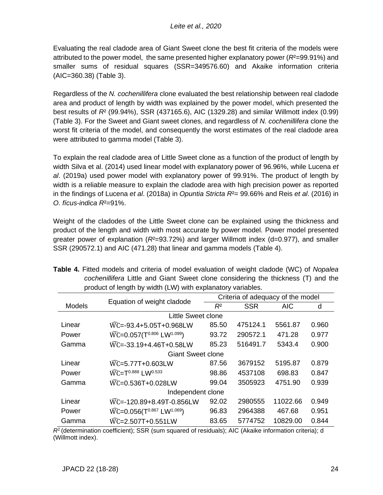Evaluating the real cladode area of Giant Sweet clone the best fit criteria of the models were attributed to the power model, the same presented higher explanatory power (*R*²=99.91%) and smaller sums of residual squares (SSR=349576.60) and Akaike information criteria (AIC=360.38) (Table 3).

Regardless of the *N. cochenillifera* clone evaluated the best relationship between real cladode area and product of length by width was explained by the power model, which presented the best results of *R*² (99.94%), SSR (437165.6), AIC (1329.28) and similar Willmott index (0.99) (Table 3). For the Sweet and Giant sweet clones, and regardless of *N. cochenillifera* clone the worst fit criteria of the model, and consequently the worst estimates of the real cladode area were attributed to gamma model (Table 3).

To explain the real cladode area of Little Sweet clone as a function of the product of length by width Silva et al. (2014) used linear model with explanatory power of 96.96%, while Lucena *et al*. (2019a) used power model with explanatory power of 99.91%. The product of length by width is a reliable measure to explain the cladode area with high precision power as reported in the findings of Lucena *et al*. (2018a) in *Opuntia Stricta R*²= 99.66% and Reis *et al*. (2016) in *O. fícus-indica R*²=91%.

Weight of the cladodes of the Little Sweet clone can be explained using the thickness and product of the length and width with most accurate by power model. Power model presented greater power of explanation (*R*²=93.72%) and larger Willmott index (d=0.977), and smaller SSR (290572.1) and AIC (471.28) that linear and gamma models (Table 4).

|                          | Equation of weight cladode                                            | Criteria of adequacy of the model |            |            |       |  |  |  |  |  |
|--------------------------|-----------------------------------------------------------------------|-----------------------------------|------------|------------|-------|--|--|--|--|--|
| <b>Models</b>            |                                                                       | $R^2$                             | <b>SSR</b> | <b>AIC</b> | d     |  |  |  |  |  |
|                          |                                                                       |                                   |            |            |       |  |  |  |  |  |
| Linear                   | $\widehat{WC} = -93.4 + 5.05T + 0.968LW$                              | 85.50                             | 475124.1   | 5561.87    | 0.960 |  |  |  |  |  |
| Power                    | $\widehat{WC} = 0.057(T^{0.806} LW^{1.099})$                          | 93.72                             | 290572.1   | 471.28     | 0.977 |  |  |  |  |  |
| Gamma                    | $\widehat{WC}$ =-33.19+4.46T+0.58LW                                   | 85.23                             | 516491.7   | 5343.4     | 0.900 |  |  |  |  |  |
| <b>Giant Sweet clone</b> |                                                                       |                                   |            |            |       |  |  |  |  |  |
| Linear                   | WC=5.77T+0.603LW                                                      | 87.56                             | 3679152    | 5195.87    | 0.879 |  |  |  |  |  |
| Power                    | WC=T <sup>0.888</sup> LW0.533                                         | 98.86                             | 4537108    | 698.83     | 0.847 |  |  |  |  |  |
| Gamma                    | $\widehat{\text{WC}}$ =0.536T+0.028LW                                 | 99.04                             | 3505923    | 4751.90    | 0.939 |  |  |  |  |  |
| Independent clone        |                                                                       |                                   |            |            |       |  |  |  |  |  |
| Linear                   | WC=-120.89+8.49T-0.856LW                                              | 92.02                             | 2980555    | 11022.66   | 0.949 |  |  |  |  |  |
| Power                    | $\widehat{\text{WC}}$ =0.056(T <sup>0.867</sup> LW <sup>1.069</sup> ) | 96.83                             | 2964388    | 467.68     | 0.951 |  |  |  |  |  |
| Gamma                    | WC=2.507T+0.551LW                                                     | 83.65                             | 5774752    | 10829.00   | 0.844 |  |  |  |  |  |

**Table 4.** Fitted models and criteria of model evaluation of weight cladode (WC) of *Nopalea cochenillifera* Little and Giant Sweet clone considering the thickness (T) and the product of length by width (LW) with explanatory variables.

 $R^2$  (determination coefficient); SSR (sum squared of residuals); AIC (Akaike information criteria); d (Willmott index).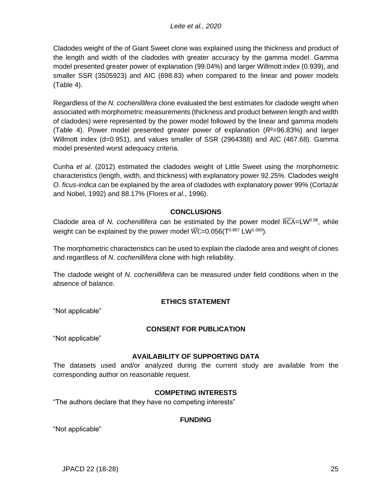Cladodes weight of the of Giant Sweet clone was explained using the thickness and product of the length and width of the cladodes with greater accuracy by the gamma model. Gamma model presented greater power of explanation (99.04%) and larger Willmott index (0.939), and smaller SSR (3505923) and AIC (698.83) when compared to the linear and power models (Table 4).

Regardless of the *N. cochenillifera* clone evaluated the best estimates for cladode weight when associated with morphometric measurements (thickness and product between length and width of cladodes) were represented by the power model followed by the linear and gamma models (Table 4). Power model presented greater power of explanation (*R*²=96.83%) and larger Willmott index (d=0.951), and values smaller of SSR (2964388) and AIC (467.68). Gamma model presented worst adequacy criteria.

Cunha *et al*. (2012) estimated the cladodes weight of Little Sweet using the morphometric characteristics (length, width, and thickness) with explanatory power 92.25%. Cladodes weight *O. ficus-indica* can be explained by the area of cladodes with explanatory power 99% (Cortazár and Nobel, 1992) and 88.17% (Flores *et al*., 1996).

# **CONCLUSIONS**

Cladode area of *N. cochenillifera* can be estimated by the power model  $\widehat{RCA}$ =LW<sup>0.98</sup>, while weight can be explained by the power model  $\widehat{WC}$  = 0.056( $T^{0.867}$  LW<sup>1.069</sup>).

The morphometric characteristics can be used to explain the cladode area and weight of clones and regardless of *N. cochenillifera* clone with high reliability.

The cladode weight of *N. cochenillifera* can be measured under field conditions when in the absence of balance.

### **ETHICS STATEMENT**

"Not applicable"

# **CONSENT FOR PUBLICATION**

"Not applicable"

### **AVAILABILITY OF SUPPORTING DATA**

The datasets used and/or analyzed during the current study are available from the corresponding author on reasonable request.

### **COMPETING INTERESTS**

"The authors declare that they have no competing interests"

### **FUNDING**

"Not applicable"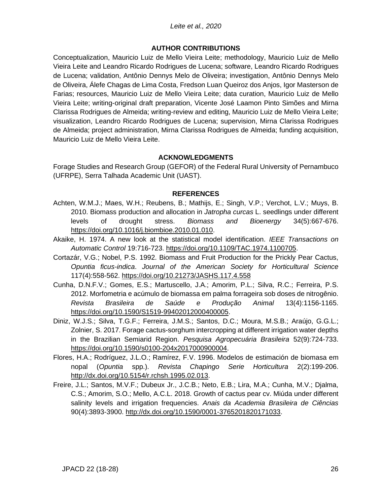#### *Leite et al., 2020*

#### **AUTHOR CONTRIBUTIONS**

Conceptualization, Mauricio Luiz de Mello Vieira Leite; methodology, Mauricio Luiz de Mello Vieira Leite and Leandro Ricardo Rodrigues de Lucena; software, Leandro Ricardo Rodrigues de Lucena; validation, Antônio Dennys Melo de Oliveira; investigation, Antônio Dennys Melo de Oliveira, Álefe Chagas de Lima Costa, Fredson Luan Queiroz dos Anjos, Igor Masterson de Farias; resources, Mauricio Luiz de Mello Vieira Leite; data curation, Mauricio Luiz de Mello Vieira Leite; writing-original draft preparation, Vicente José Laamon Pinto Simões and Mirna Clarissa Rodrigues de Almeida; writing-review and editing, Mauricio Luiz de Mello Vieira Leite; visualization, Leandro Ricardo Rodrigues de Lucena; supervision, Mirna Clarissa Rodrigues de Almeida; project administration, Mirna Clarissa Rodrigues de Almeida; funding acquisition, Mauricio Luiz de Mello Vieira Leite.

#### **ACKNOWLEDGMENTS**

Forage Studies and Research Group (GEFOR) of the Federal Rural University of Pernambuco (UFRPE), Serra Talhada Academic Unit (UAST).

#### **REFERENCES**

- Achten, W.M.J.; Maes, W.H.; Reubens, B.; Mathijs, E.; Singh, V.P.; Verchot, L.V.; Muys, B. 2010. Biomass production and allocation in *Jatropha curcas* L. seedlings under different levels of drought stress. *Biomass and Bioenergy* 34(5):667-676. [https://doi.org/10.1016/j.biombioe.2010.01.010.](https://doi.org/10.1016/j.biombioe.2010.01.010)
- Akaike, H. 1974. A new look at the statistical model identification. *IEEE Transactions on Automatic Control* 19:716-723. [https://doi.org/10.1109/TAC.1974.1100705.](https://doi.org/10.1109/TAC.1974.1100705)
- Cortazár, V.G.; Nobel, P.S. 1992. Biomass and Fruit Production for the Prickly Pear Cactus, *Opuntia ficus-indica*. *Journal of the American Society for Horticultural Science* 117(4):558-562.<https://doi.org/10.21273/JASHS.117.4.558>
- Cunha, D.N.F.V.; Gomes, E.S.; Martuscello, J.A.; Amorim, P.L.; Silva, R.C.; Ferreira, P.S. 2012. Morfometria e acúmulo de biomassa em palma forrageira sob doses de nitrogênio. *Revista Brasileira de Saúde e Produção Animal* 13(4):1156-1165. [https://doi.org/10.1590/S1519-99402012000400005.](https://doi.org/10.1590/S1519-99402012000400005)
- Diniz, W.J.S.; Silva, T.G.F.; Ferreira, J.M.S.; Santos, D.C.; Moura, M.S.B.; Araújo, G.G.L.; Zolnier, S. 2017. Forage cactus-sorghum intercropping at different irrigation water depths in the Brazilian Semiarid Region. *Pesquisa Agropecuária Brasileira* 52(9):724-733. [https://doi.org/10.1590/s0100-204x2017000900004.](https://doi.org/10.1590/s0100-204x2017000900004)
- Flores, H.A.; Rodríguez, J.L.O.; Ramírez, F.V. 1996. Modelos de estimación de biomasa em nopal (*Opuntia* spp.). *Revista Chapingo Serie Horticultura* 2(2):199-206. [http://dx.doi.org/10.5154/r.rchsh.1995.02.013.](http://dx.doi.org/10.5154/r.rchsh.1995.02.013)
- Freire, J.L.; Santos, M.V.F.; Dubeux Jr., J.C.B.; Neto, E.B.; Lira, M.A.; Cunha, M.V.; Djalma, C.S.; Amorim, S.O.; Mello, A.C.L. 2018. Growth of cactus pear cv. Miúda under different salinity levels and irrigation frequencies. *Anais da Academia Brasileira de Ciências* 90(4):3893-3900. [http://dx.doi.org/10.1590/0001-3765201820171033.](http://dx.doi.org/10.1590/0001-3765201820171033)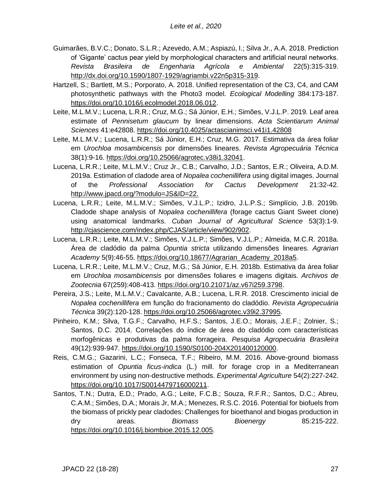- Guimarães, B.V.C.; Donato, S.L.R.; Azevedo, A.M.; Aspiazú, I.; Silva Jr., A.A. 2018. Prediction of 'Gigante' cactus pear yield by morphological characters and artificial neural networks. *Revista Brasileira de Engenharia Agrícola e Ambiental* 22(5):315-319. [http://dx.doi.org/10.1590/1807-1929/agriambi.v22n5p315-319.](http://dx.doi.org/10.1590/1807-1929/agriambi.v22n5p315-319)
- Hartzell, S.; Bartlett, M.S.; Porporato, A. 2018. Unified representation of the C3, C4, and CAM photosynthetic pathways with the Photo3 model. *Ecological Modelling* 384:173-187. [https://doi.org/10.1016/j.ecolmodel.2018.06.012.](https://doi.org/10.1016/j.ecolmodel.2018.06.012)
- Leite, M.L.M.V.; Lucena, L.R.R.; Cruz, M.G.; Sá Júnior, E.H.; Simões, V.J.L.P. 2019. Leaf area estimate of *Pennisetum glaucum* by linear dimensions. *Acta Scientiarum Animal Sciences* 41:e42808.<https://doi.org/10.4025/actascianimsci.v41i1.42808>
- Leite, M.L.M.V.; Lucena, L.R.R.; Sá Júnior, E.H.; Cruz, M.G. 2017. Estimativa da área foliar em *Urochloa mosambicensis* por dimensões lineares. *Revista Agropecuária Técnica* 38(1):9-16. [https://doi.org/10.25066/agrotec.v38i1.32041.](https://doi.org/10.25066/agrotec.v38i1.32041)
- Lucena, L.R.R.; Leite, M.L.M.V.; Cruz Jr., C.B.; Carvalho, J.D.; Santos, E.R.; Oliveira, A.D.M. 2019a. Estimation of cladode area of *Nopalea cochenillifera* using digital images. Journal of the *Professional Association for Cactus Development* 21:32-42. [http://www.jpacd.org/?modulo=JS&ID=22.](http://www.jpacd.org/?modulo=JS&ID=22)
- Lucena, L.R.R.; Leite, M.L.M.V.; Simões, V.J.L.P.; Izidro, J.L.P.S.; Simplício, J.B. 2019b. Cladode shape analysis of *Nopalea cochenillifera* (forage cactus Giant Sweet clone) using anatomical landmarks. *Cuban Journal of Agricultural Science* 53(3):1-9. [http://cjascience.com/index.php/CJAS/article/view/902/902.](http://cjascience.com/index.php/CJAS/article/view/902/902)
- Lucena, L.R.R.; Leite, M.L.M.V.; Simões, V.J.L.P.; Simões, V.J.L.P.; Almeida, M.C.R. 2018a. Área de cladódio da palma *Opuntia stricta* utilizando dimensões lineares. *Agrarian Academy* 5(9):46-55. [https://doi.org/10.18677/Agrarian\\_Academy\\_2018a5.](https://doi.org/10.18677/Agrarian_Academy_2018a5)
- Lucena, L.R.R.; Leite, M.L.M.V.; Cruz, M.G.; Sá Júnior, E.H. 2018b. Estimativa da área foliar em *Urochloa mosambicensis* por dimensões foliares e imagens digitais. *Archivos de Zootecnia* 67(259):408-413. [https://doi.org/10.21071/az.v67i259.3798.](https://doi.org/10.21071/az.v67i259.3798)
- Pereira, J.S.; Leite, M.L.M.V.; Cavalcante, A.B.; Lucena, L.R.R. 2018. Crescimento inicial de *Nopalea cochenillifera* em função do fracionamento do cladódio. *Revista Agropecuária Técnica* 39(2):120-128. [https://doi.org/10.25066/agrotec.v39i2.37995.](https://doi.org/10.25066/agrotec.v39i2.37995)
- Pinheiro, K.M.; Silva, T.G.F.; Carvalho, H.F.S.; Santos, J.E.O.; Morais, J.E.F.; Zolnier, S.; Santos, D.C. 2014. Correlações do índice de área do cladódio com características morfogênicas e produtivas da palma forrageira. *Pesquisa Agropecuária Brasileira* 49(12):939-947. [https://doi.org/10.1590/S0100-204X201400120000.](https://doi.org/10.1590/S0100-204X201400120000)
- Reis, C.M.G.; Gazarini, L.C.; Fonseca, T.F.; Ribeiro, M.M. 2016. Above-ground biomass estimation of *Opuntia ficus-indica* (L.) mill. for forage crop in a Mediterranean environment by using non-destructive methods. *Experimental Agriculture* 54(2):227-242. [https://doi.org/10.1017/S0014479716000211.](https://doi.org/10.1017/S0014479716000211)
- Santos, T.N.; Dutra, E.D.; Prado, A.G.; Leite, F.C.B.; Souza, R.F.R.; Santos, D.C.; Abreu, C.A.M.; Simões, D.A.; Morais Jr, M.A.; Menezes, R.S.C. 2016. Potential for biofuels from the biomass of prickly pear cladodes: Challenges for bioethanol and biogas production in dry areas. *Biomass Bioenergy* 85:215-222. [https://doi.org/10.1016/j.biombioe.2015.12.005.](https://doi.org/10.1016/j.biombioe.2015.12.005)